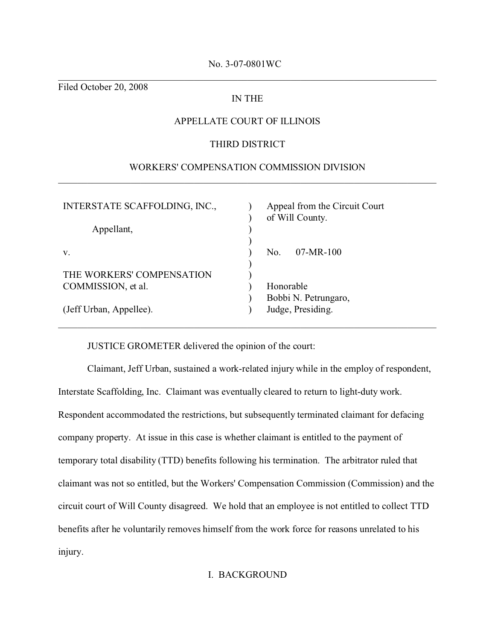# No. 3-07-0801WC \_\_\_\_\_\_\_\_\_\_\_\_\_\_\_\_\_\_\_\_\_\_\_\_\_\_\_\_\_\_\_\_\_\_\_\_\_\_\_\_\_\_\_\_\_\_\_\_\_\_\_\_\_\_\_\_\_\_\_\_\_\_\_\_\_\_\_\_\_\_\_\_\_\_\_\_\_\_

Filed October 20, 2008

# IN THE

## APPELLATE COURT OF ILLINOIS

### THIRD DISTRICT

## WORKERS' COMPENSATION COMMISSION DIVISION \_\_\_\_\_\_\_\_\_\_\_\_\_\_\_\_\_\_\_\_\_\_\_\_\_\_\_\_\_\_\_\_\_\_\_\_\_\_\_\_\_\_\_\_\_\_\_\_\_\_\_\_\_\_\_\_\_\_\_\_\_\_\_\_\_\_\_\_\_\_\_\_\_\_\_\_\_\_

| INTERSTATE SCAFFOLDING, INC., | Appeal from the Circuit Court<br>of Will County. |
|-------------------------------|--------------------------------------------------|
| Appellant,                    |                                                  |
| V.                            | $07-MR-100$<br>No.                               |
| THE WORKERS' COMPENSATION     |                                                  |
| COMMISSION, et al.            | Honorable                                        |
|                               | Bobbi N. Petrungaro,                             |
| (Jeff Urban, Appellee).       | Judge, Presiding.                                |
|                               |                                                  |

#### JUSTICE GROMETER delivered the opinion of the court:

Claimant, Jeff Urban, sustained a work-related injury while in the employ of respondent, Interstate Scaffolding, Inc. Claimant was eventually cleared to return to light-duty work. Respondent accommodated the restrictions, but subsequently terminated claimant for defacing company property. At issue in this case is whether claimant is entitled to the payment of temporary total disability (TTD) benefits following his termination. The arbitrator ruled that claimant was not so entitled, but the Workers' Compensation Commission (Commission) and the circuit court of Will County disagreed. We hold that an employee is not entitled to collect TTD benefits after he voluntarily removes himself from the work force for reasons unrelated to his injury.

## I. BACKGROUND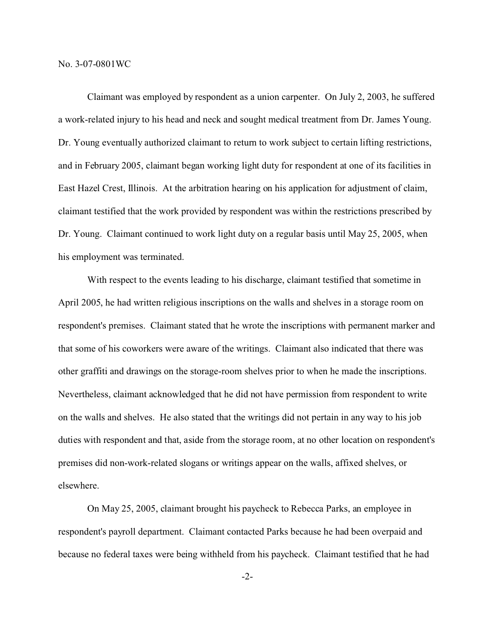Claimant was employed by respondent as a union carpenter. On July 2, 2003, he suffered a work-related injury to his head and neck and sought medical treatment from Dr. James Young. Dr. Young eventually authorized claimant to return to work subject to certain lifting restrictions, and in February 2005, claimant began working light duty for respondent at one of its facilities in East Hazel Crest, Illinois. At the arbitration hearing on his application for adjustment of claim, claimant testified that the work provided by respondent was within the restrictions prescribed by Dr. Young. Claimant continued to work light duty on a regular basis until May 25, 2005, when his employment was terminated.

With respect to the events leading to his discharge, claimant testified that sometime in April 2005, he had written religious inscriptions on the walls and shelves in a storage room on respondent's premises. Claimant stated that he wrote the inscriptions with permanent marker and that some of his coworkers were aware of the writings. Claimant also indicated that there was other graffiti and drawings on the storage-room shelves prior to when he made the inscriptions. Nevertheless, claimant acknowledged that he did not have permission from respondent to write on the walls and shelves. He also stated that the writings did not pertain in any way to his job duties with respondent and that, aside from the storage room, at no other location on respondent's premises did non-work-related slogans or writings appear on the walls, affixed shelves, or elsewhere.

On May 25, 2005, claimant brought his paycheck to Rebecca Parks, an employee in respondent's payroll department. Claimant contacted Parks because he had been overpaid and because no federal taxes were being withheld from his paycheck. Claimant testified that he had

-2-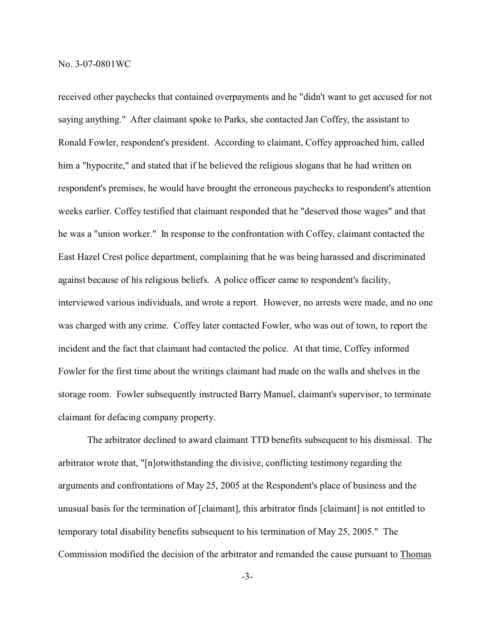received other paychecks that contained overpayments and he "didn't want to get accused for not saying anything." After claimant spoke to Parks, she contacted Jan Coffey, the assistant to Ronald Fowler, respondent's president. According to claimant, Coffey approached him, called him a "hypocrite," and stated that if he believed the religious slogans that he had written on respondent's premises, he would have brought the erroneous paychecks to respondent's attention weeks earlier. Coffey testified that claimant responded that he "deserved those wages" and that he was a "union worker." In response to the confrontation with Coffey, claimant contacted the East Hazel Crest police department, complaining that he was being harassed and discriminated against because of his religious beliefs. A police officer came to respondent's facility, interviewed various individuals, and wrote a report. However, no arrests were made, and no one was charged with any crime. Coffey later contacted Fowler, who was out of town, to report the incident and the fact that claimant had contacted the police. At that time, Coffey informed Fowler for the first time about the writings claimant had made on the walls and shelves in the storage room. Fowler subsequently instructed Barry Manuel, claimant's supervisor, to terminate claimant for defacing company property.

The arbitrator declined to award claimant TTD benefits subsequent to his dismissal. The arbitrator wrote that, "[n]otwithstanding the divisive, conflicting testimony regarding the arguments and confrontations of May 25, 2005 at the Respondent's place of business and the unusual basis for the termination of [claimant], this arbitrator finds [claimant] is not entitled to temporary total disability benefits subsequent to his termination of May 25, 2005." The Commission modified the decision of the arbitrator and remanded the cause pursuant to Thomas

-3-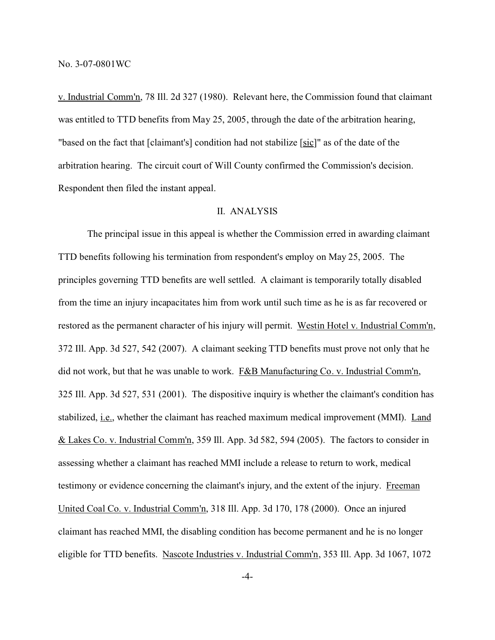v. Industrial Comm'n, 78 Ill. 2d 327 (1980). Relevant here, the Commission found that claimant was entitled to TTD benefits from May 25, 2005, through the date of the arbitration hearing, "based on the fact that [claimant's] condition had not stabilize [sic]" as of the date of the arbitration hearing. The circuit court of Will County confirmed the Commission's decision. Respondent then filed the instant appeal.

### II. ANALYSIS

The principal issue in this appeal is whether the Commission erred in awarding claimant TTD benefits following his termination from respondent's employ on May 25, 2005. The principles governing TTD benefits are well settled. A claimant is temporarily totally disabled from the time an injury incapacitates him from work until such time as he is as far recovered or restored as the permanent character of his injury will permit. Westin Hotel v. Industrial Comm'n, 372 Ill. App. 3d 527, 542 (2007). A claimant seeking TTD benefits must prove not only that he did not work, but that he was unable to work. F&B Manufacturing Co. v. Industrial Comm'n, 325 Ill. App. 3d 527, 531 (2001). The dispositive inquiry is whether the claimant's condition has stabilized, i.e., whether the claimant has reached maximum medical improvement (MMI). Land & Lakes Co. v. Industrial Comm'n, 359 Ill. App. 3d 582, 594 (2005). The factors to consider in assessing whether a claimant has reached MMI include a release to return to work, medical testimony or evidence concerning the claimant's injury, and the extent of the injury. Freeman United Coal Co. v. Industrial Comm'n, 318 Ill. App. 3d 170, 178 (2000). Once an injured claimant has reached MMI, the disabling condition has become permanent and he is no longer eligible for TTD benefits. Nascote Industries v. Industrial Comm'n, 353 Ill. App. 3d 1067, 1072

-4-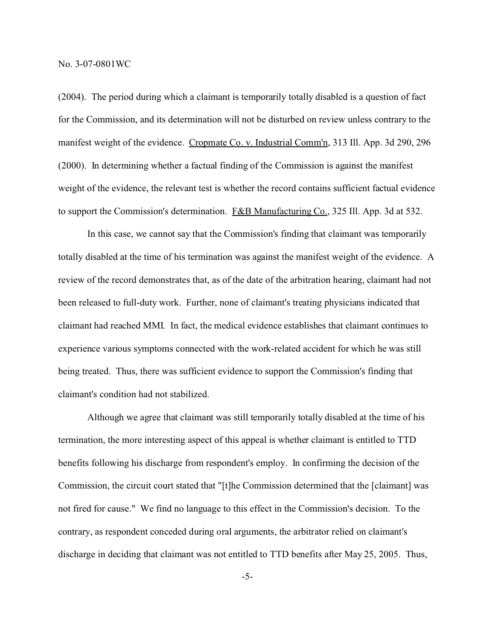(2004). The period during which a claimant is temporarily totally disabled is a question of fact for the Commission, and its determination will not be disturbed on review unless contrary to the manifest weight of the evidence. Cropmate Co. v. Industrial Comm'n, 313 Ill. App. 3d 290, 296 (2000). In determining whether a factual finding of the Commission is against the manifest weight of the evidence, the relevant test is whether the record contains sufficient factual evidence to support the Commission's determination. F&B Manufacturing Co., 325 Ill. App. 3d at 532.

In this case, we cannot say that the Commission's finding that claimant was temporarily totally disabled at the time of his termination was against the manifest weight of the evidence. A review of the record demonstrates that, as of the date of the arbitration hearing, claimant had not been released to full-duty work. Further, none of claimant's treating physicians indicated that claimant had reached MMI. In fact, the medical evidence establishes that claimant continues to experience various symptoms connected with the work-related accident for which he was still being treated. Thus, there was sufficient evidence to support the Commission's finding that claimant's condition had not stabilized.

Although we agree that claimant was still temporarily totally disabled at the time of his termination, the more interesting aspect of this appeal is whether claimant is entitled to TTD benefits following his discharge from respondent's employ. In confirming the decision of the Commission, the circuit court stated that "[t]he Commission determined that the [claimant] was not fired for cause." We find no language to this effect in the Commission's decision. To the contrary, as respondent conceded during oral arguments, the arbitrator relied on claimant's discharge in deciding that claimant was not entitled to TTD benefits after May 25, 2005. Thus,

-5-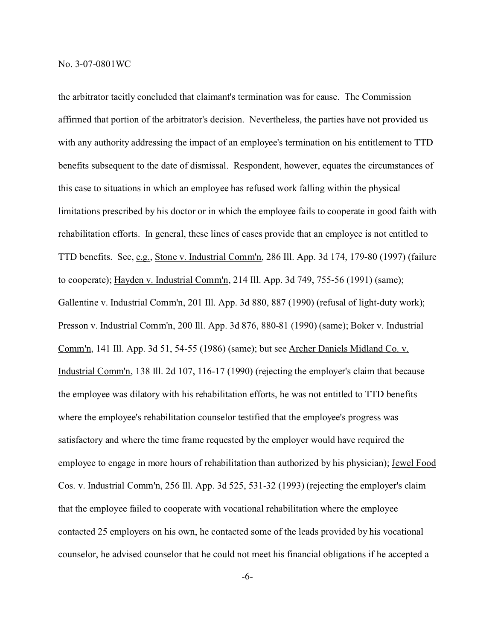the arbitrator tacitly concluded that claimant's termination was for cause. The Commission affirmed that portion of the arbitrator's decision. Nevertheless, the parties have not provided us with any authority addressing the impact of an employee's termination on his entitlement to TTD benefits subsequent to the date of dismissal. Respondent, however, equates the circumstances of this case to situations in which an employee has refused work falling within the physical limitations prescribed by his doctor or in which the employee fails to cooperate in good faith with rehabilitation efforts. In general, these lines of cases provide that an employee is not entitled to TTD benefits. See, e.g., Stone v. Industrial Comm'n, 286 Ill. App. 3d 174, 179-80 (1997) (failure to cooperate); Hayden v. Industrial Comm'n, 214 Ill. App. 3d 749, 755-56 (1991) (same); Gallentine v. Industrial Comm'n, 201 Ill. App. 3d 880, 887 (1990) (refusal of light-duty work); Presson v. Industrial Comm'n, 200 Ill. App. 3d 876, 880-81 (1990) (same); Boker v. Industrial Comm'n, 141 Ill. App. 3d 51, 54-55 (1986) (same); but see Archer Daniels Midland Co. v. Industrial Comm'n, 138 Ill. 2d 107, 116-17 (1990) (rejecting the employer's claim that because the employee was dilatory with his rehabilitation efforts, he was not entitled to TTD benefits where the employee's rehabilitation counselor testified that the employee's progress was satisfactory and where the time frame requested by the employer would have required the employee to engage in more hours of rehabilitation than authorized by his physician); Jewel Food Cos. v. Industrial Comm'n, 256 Ill. App. 3d 525, 531-32 (1993) (rejecting the employer's claim that the employee failed to cooperate with vocational rehabilitation where the employee contacted 25 employers on his own, he contacted some of the leads provided by his vocational counselor, he advised counselor that he could not meet his financial obligations if he accepted a

-6-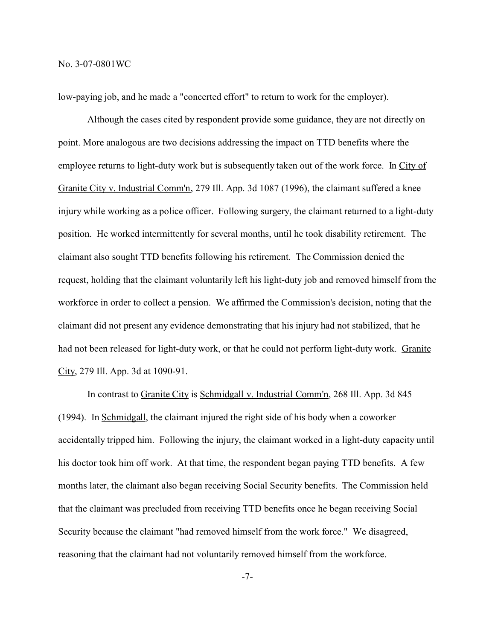low-paying job, and he made a "concerted effort" to return to work for the employer).

Although the cases cited by respondent provide some guidance, they are not directly on point. More analogous are two decisions addressing the impact on TTD benefits where the employee returns to light-duty work but is subsequently taken out of the work force. In City of Granite City v. Industrial Comm'n, 279 Ill. App. 3d 1087 (1996), the claimant suffered a knee injury while working as a police officer. Following surgery, the claimant returned to a light-duty position. He worked intermittently for several months, until he took disability retirement. The claimant also sought TTD benefits following his retirement. The Commission denied the request, holding that the claimant voluntarily left his light-duty job and removed himself from the workforce in order to collect a pension. We affirmed the Commission's decision, noting that the claimant did not present any evidence demonstrating that his injury had not stabilized, that he had not been released for light-duty work, or that he could not perform light-duty work. Granite City, 279 Ill. App. 3d at 1090-91.

In contrast to Granite City is Schmidgall v. Industrial Comm'n, 268 Ill. App. 3d 845 (1994). In Schmidgall, the claimant injured the right side of his body when a coworker accidentally tripped him. Following the injury, the claimant worked in a light-duty capacity until his doctor took him off work. At that time, the respondent began paying TTD benefits. A few months later, the claimant also began receiving Social Security benefits. The Commission held that the claimant was precluded from receiving TTD benefits once he began receiving Social Security because the claimant "had removed himself from the work force." We disagreed, reasoning that the claimant had not voluntarily removed himself from the workforce.

-7-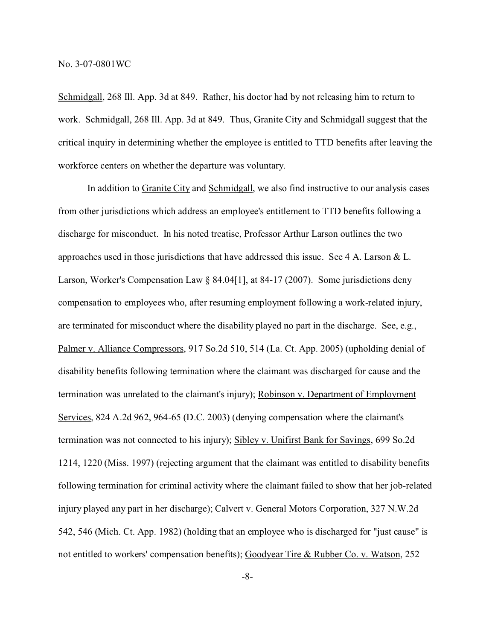Schmidgall, 268 Ill. App. 3d at 849. Rather, his doctor had by not releasing him to return to work. Schmidgall, 268 Ill. App. 3d at 849. Thus, Granite City and Schmidgall suggest that the critical inquiry in determining whether the employee is entitled to TTD benefits after leaving the workforce centers on whether the departure was voluntary.

In addition to Granite City and Schmidgall, we also find instructive to our analysis cases from other jurisdictions which address an employee's entitlement to TTD benefits following a discharge for misconduct. In his noted treatise, Professor Arthur Larson outlines the two approaches used in those jurisdictions that have addressed this issue. See 4 A. Larson & L. Larson, Worker's Compensation Law § 84.04[1], at 84-17 (2007). Some jurisdictions deny compensation to employees who, after resuming employment following a work-related injury, are terminated for misconduct where the disability played no part in the discharge. See, e.g., Palmer v. Alliance Compressors, 917 So.2d 510, 514 (La. Ct. App. 2005) (upholding denial of disability benefits following termination where the claimant was discharged for cause and the termination was unrelated to the claimant's injury); Robinson v. Department of Employment Services, 824 A.2d 962, 964-65 (D.C. 2003) (denying compensation where the claimant's termination was not connected to his injury); Sibley v. Unifirst Bank for Savings, 699 So.2d 1214, 1220 (Miss. 1997) (rejecting argument that the claimant was entitled to disability benefits following termination for criminal activity where the claimant failed to show that her job-related injury played any part in her discharge); Calvert v. General Motors Corporation, 327 N.W.2d 542, 546 (Mich. Ct. App. 1982) (holding that an employee who is discharged for "just cause" is not entitled to workers' compensation benefits); Goodyear Tire & Rubber Co. v. Watson, 252

-8-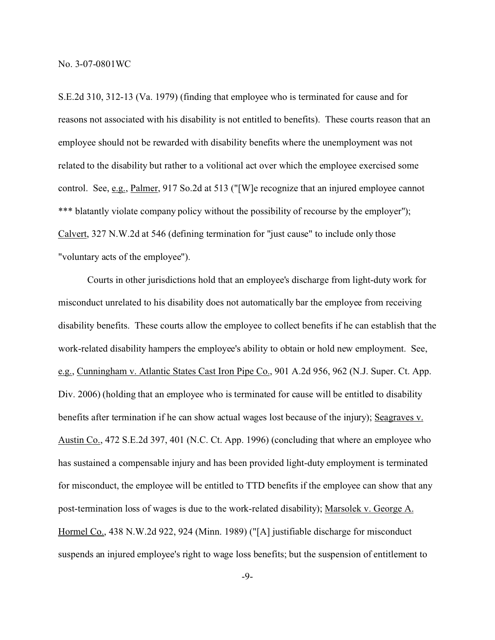S.E.2d 310, 312-13 (Va. 1979) (finding that employee who is terminated for cause and for reasons not associated with his disability is not entitled to benefits). These courts reason that an employee should not be rewarded with disability benefits where the unemployment was not related to the disability but rather to a volitional act over which the employee exercised some control. See, e.g., Palmer, 917 So.2d at 513 ("[W]e recognize that an injured employee cannot \*\*\* blatantly violate company policy without the possibility of recourse by the employer"); Calvert, 327 N.W.2d at 546 (defining termination for "just cause" to include only those "voluntary acts of the employee").

Courts in other jurisdictions hold that an employee's discharge from light-duty work for misconduct unrelated to his disability does not automatically bar the employee from receiving disability benefits. These courts allow the employee to collect benefits if he can establish that the work-related disability hampers the employee's ability to obtain or hold new employment. See, e.g., Cunningham v. Atlantic States Cast Iron Pipe Co., 901 A.2d 956, 962 (N.J. Super. Ct. App. Div. 2006) (holding that an employee who is terminated for cause will be entitled to disability benefits after termination if he can show actual wages lost because of the injury); Seagraves v. Austin Co., 472 S.E.2d 397, 401 (N.C. Ct. App. 1996) (concluding that where an employee who has sustained a compensable injury and has been provided light-duty employment is terminated for misconduct, the employee will be entitled to TTD benefits if the employee can show that any post-termination loss of wages is due to the work-related disability); Marsolek v. George A. Hormel Co., 438 N.W.2d 922, 924 (Minn. 1989) ("[A] justifiable discharge for misconduct suspends an injured employee's right to wage loss benefits; but the suspension of entitlement to

-9-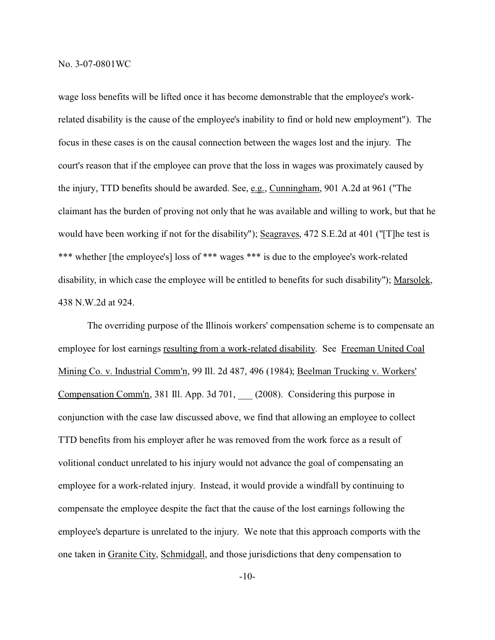wage loss benefits will be lifted once it has become demonstrable that the employee's workrelated disability is the cause of the employee's inability to find or hold new employment"). The focus in these cases is on the causal connection between the wages lost and the injury. The court's reason that if the employee can prove that the loss in wages was proximately caused by the injury, TTD benefits should be awarded. See, e.g., Cunningham, 901 A.2d at 961 ("The claimant has the burden of proving not only that he was available and willing to work, but that he would have been working if not for the disability"); Seagraves, 472 S.E.2d at 401 ("[T]he test is \*\*\* whether [the employee's] loss of \*\*\* wages \*\*\* is due to the employee's work-related disability, in which case the employee will be entitled to benefits for such disability"); Marsolek, 438 N.W.2d at 924.

The overriding purpose of the Illinois workers' compensation scheme is to compensate an employee for lost earnings resulting from a work-related disability. See Freeman United Coal Mining Co. v. Industrial Comm'n, 99 Ill. 2d 487, 496 (1984); Beelman Trucking v. Workers' Compensation Comm'n, 381 Ill. App. 3d 701, \_\_\_ (2008). Considering this purpose in conjunction with the case law discussed above, we find that allowing an employee to collect TTD benefits from his employer after he was removed from the work force as a result of volitional conduct unrelated to his injury would not advance the goal of compensating an employee for a work-related injury. Instead, it would provide a windfall by continuing to compensate the employee despite the fact that the cause of the lost earnings following the employee's departure is unrelated to the injury. We note that this approach comports with the one taken in Granite City, Schmidgall, and those jurisdictions that deny compensation to

-10-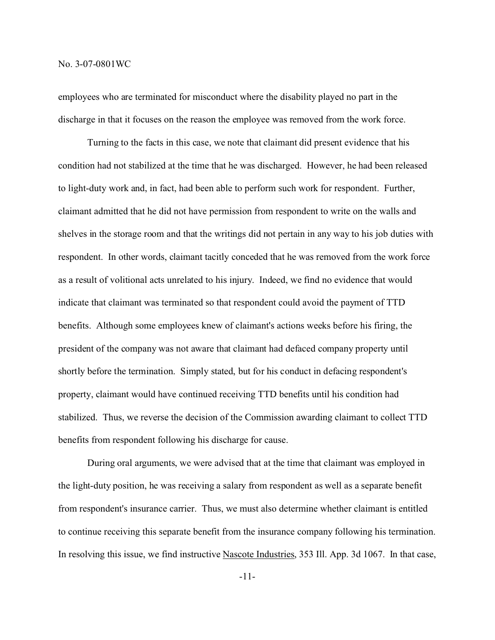employees who are terminated for misconduct where the disability played no part in the discharge in that it focuses on the reason the employee was removed from the work force.

Turning to the facts in this case, we note that claimant did present evidence that his condition had not stabilized at the time that he was discharged. However, he had been released to light-duty work and, in fact, had been able to perform such work for respondent. Further, claimant admitted that he did not have permission from respondent to write on the walls and shelves in the storage room and that the writings did not pertain in any way to his job duties with respondent. In other words, claimant tacitly conceded that he was removed from the work force as a result of volitional acts unrelated to his injury. Indeed, we find no evidence that would indicate that claimant was terminated so that respondent could avoid the payment of TTD benefits. Although some employees knew of claimant's actions weeks before his firing, the president of the company was not aware that claimant had defaced company property until shortly before the termination. Simply stated, but for his conduct in defacing respondent's property, claimant would have continued receiving TTD benefits until his condition had stabilized. Thus, we reverse the decision of the Commission awarding claimant to collect TTD benefits from respondent following his discharge for cause.

During oral arguments, we were advised that at the time that claimant was employed in the light-duty position, he was receiving a salary from respondent as well as a separate benefit from respondent's insurance carrier. Thus, we must also determine whether claimant is entitled to continue receiving this separate benefit from the insurance company following his termination. In resolving this issue, we find instructive Nascote Industries, 353 Ill. App. 3d 1067. In that case,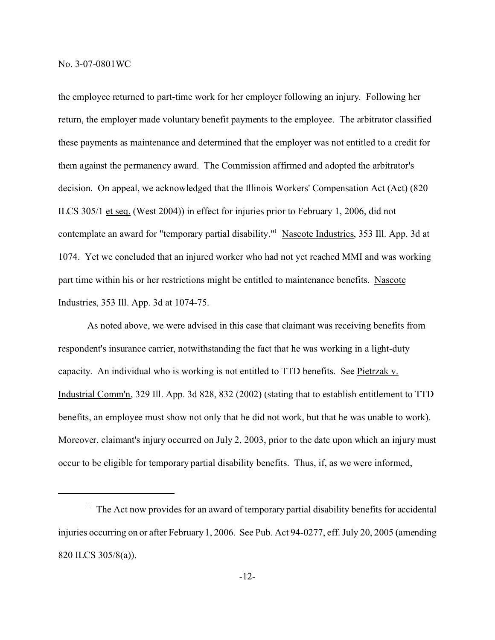the employee returned to part-time work for her employer following an injury. Following her return, the employer made voluntary benefit payments to the employee. The arbitrator classified these payments as maintenance and determined that the employer was not entitled to a credit for them against the permanency award. The Commission affirmed and adopted the arbitrator's decision. On appeal, we acknowledged that the Illinois Workers' Compensation Act (Act) (820 ILCS 305/1 et seq. (West 2004)) in effect for injuries prior to February 1, 2006, did not contemplate an award for "temporary partial disability."<sup>1</sup> Nascote Industries, 353 Ill. App. 3d at 1074. Yet we concluded that an injured worker who had not yet reached MMI and was working part time within his or her restrictions might be entitled to maintenance benefits. Nascote Industries, 353 Ill. App. 3d at 1074-75.

As noted above, we were advised in this case that claimant was receiving benefits from respondent's insurance carrier, notwithstanding the fact that he was working in a light-duty capacity. An individual who is working is not entitled to TTD benefits. See Pietrzak v. Industrial Comm'n, 329 Ill. App. 3d 828, 832 (2002) (stating that to establish entitlement to TTD benefits, an employee must show not only that he did not work, but that he was unable to work). Moreover, claimant's injury occurred on July 2, 2003, prior to the date upon which an injury must occur to be eligible for temporary partial disability benefits. Thus, if, as we were informed,

 $1$  The Act now provides for an award of temporary partial disability benefits for accidental injuries occurring on or after February 1, 2006. See Pub. Act 94-0277, eff. July 20, 2005 (amending 820 ILCS 305/8(a)).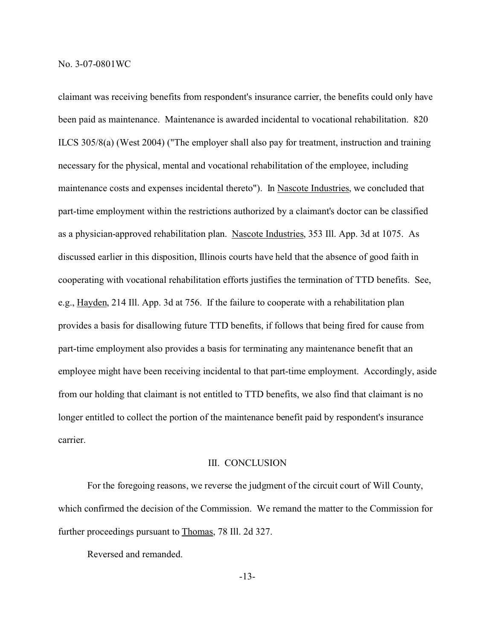claimant was receiving benefits from respondent's insurance carrier, the benefits could only have been paid as maintenance. Maintenance is awarded incidental to vocational rehabilitation. 820 ILCS 305/8(a) (West 2004) ("The employer shall also pay for treatment, instruction and training necessary for the physical, mental and vocational rehabilitation of the employee, including maintenance costs and expenses incidental thereto"). In Nascote Industries, we concluded that part-time employment within the restrictions authorized by a claimant's doctor can be classified as a physician-approved rehabilitation plan. Nascote Industries, 353 Ill. App. 3d at 1075. As discussed earlier in this disposition, Illinois courts have held that the absence of good faith in cooperating with vocational rehabilitation efforts justifies the termination of TTD benefits. See, e.g., Hayden, 214 Ill. App. 3d at 756. If the failure to cooperate with a rehabilitation plan provides a basis for disallowing future TTD benefits, if follows that being fired for cause from part-time employment also provides a basis for terminating any maintenance benefit that an employee might have been receiving incidental to that part-time employment. Accordingly, aside from our holding that claimant is not entitled to TTD benefits, we also find that claimant is no longer entitled to collect the portion of the maintenance benefit paid by respondent's insurance carrier.

#### III. CONCLUSION

For the foregoing reasons, we reverse the judgment of the circuit court of Will County, which confirmed the decision of the Commission. We remand the matter to the Commission for further proceedings pursuant to **Thomas**, 78 Ill. 2d 327.

Reversed and remanded.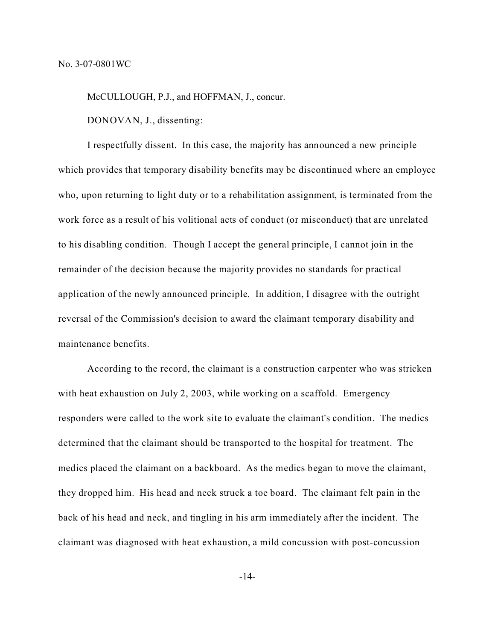McCULLOUGH, P.J., and HOFFMAN, J., concur.

DONOVAN, J., dissenting:

I respectfully dissent. In this case, the majority has announced a new principle which provides that temporary disability benefits may be discontinued where an employee who, upon returning to light duty or to a rehabilitation assignment, is terminated from the work force as a result of his volitional acts of conduct (or misconduct) that are unrelated to his disabling condition. Though I accept the general principle, I cannot join in the remainder of the decision because the majority provides no standards for practical application of the newly announced principle. In addition, I disagree with the outright reversal of the Commission's decision to award the claimant temporary disability and maintenance benefits.

According to the record, the claimant is a construction carpenter who was stricken with heat exhaustion on July 2, 2003, while working on a scaffold. Emergency responders were called to the work site to evaluate the claimant's condition. The medics determined that the claimant should be transported to the hospital for treatment. The medics placed the claimant on a backboard. As the medics began to move the claimant, they dropped him. His head and neck struck a toe board. The claimant felt pain in the back of his head and neck, and tingling in his arm immediately after the incident. The claimant was diagnosed with heat exhaustion, a mild concussion with post-concussion

-14-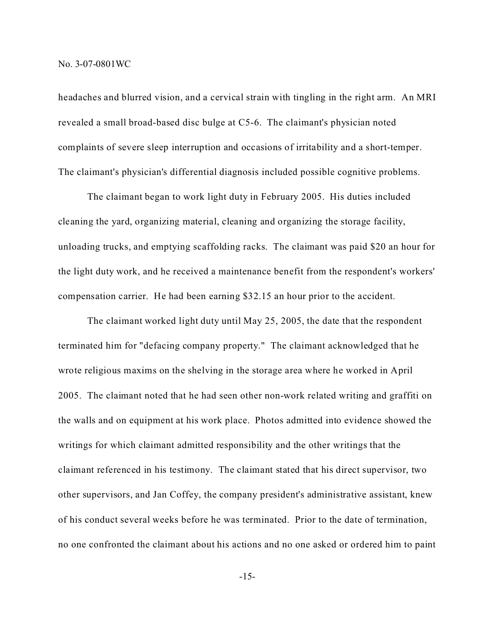headaches and blurred vision, and a cervical strain with tingling in the right arm. An MRI revealed a small broad-based disc bulge at C5-6. The claimant's physician noted complaints of severe sleep interruption and occasions of irritability and a short-temper. The claimant's physician's differential diagnosis included possible cognitive problems.

The claimant began to work light duty in February 2005. His duties included cleaning the yard, organizing material, cleaning and organizing the storage facility, unloading trucks, and emptying scaffolding racks. The claimant was paid \$20 an hour for the light duty work, and he received a maintenance benefit from the respondent's workers' compensation carrier. He had been earning \$32.15 an hour prior to the accident.

The claimant worked light duty until May 25, 2005, the date that the respondent terminated him for "defacing company property." The claimant acknowledged that he wrote religious maxims on the shelving in the storage area where he worked in April 2005. The claimant noted that he had seen other non-work related writing and graffiti on the walls and on equipment at his work place. Photos admitted into evidence showed the writings for which claimant admitted responsibility and the other writings that the claimant referenced in his testimony. The claimant stated that his direct supervisor, two other supervisors, and Jan Coffey, the company president's administrative assistant, knew of his conduct several weeks before he was terminated. Prior to the date of termination, no one confronted the claimant about his actions and no one asked or ordered him to paint

-15-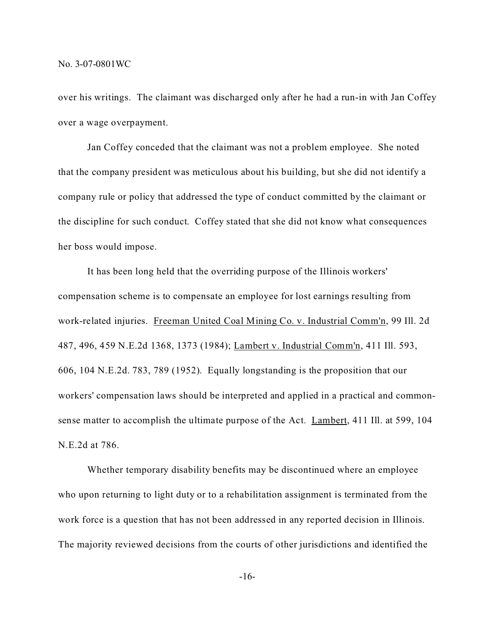over his writings. The claimant was discharged only after he had a run-in with Jan Coffey over a wage overpayment.

Jan Coffey conceded that the claimant was not a problem employee. She noted that the company president was meticulous about his building, but she did not identify a company rule or policy that addressed the type of conduct committed by the claimant or the discipline for such conduct. Coffey stated that she did not know what consequences her boss would impose.

It has been long held that the overriding purpose of the Illinois workers' compensation scheme is to compensate an employee for lost earnings resulting from work-related injuries. Freeman United Coal Mining Co. v. Industrial Comm'n, 99 Ill. 2d 487, 496, 459 N.E.2d 1368, 1373 (1984); Lambert v. Industrial Comm'n, 411 Ill. 593, 606, 104 N.E.2d. 783, 789 (1952). Equally longstanding is the proposition that our workers' compensation laws should be interpreted and applied in a practical and commonsense matter to accomplish the ultimate purpose of the Act. Lambert, 411 Ill. at 599, 104 N.E.2d at 786.

Whether temporary disability benefits may be discontinued where an employee who upon returning to light duty or to a rehabilitation assignment is terminated from the work force is a question that has not been addressed in any reported decision in Illinois. The majority reviewed decisions from the courts of other jurisdictions and identified the

-16-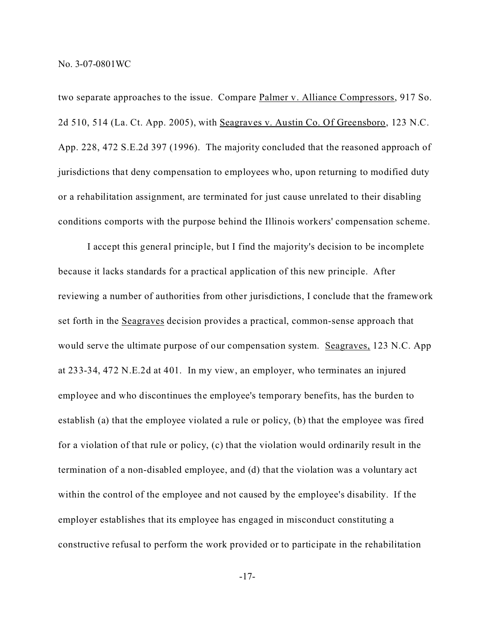two separate approaches to the issue. Compare Palmer v. Alliance Compressors, 917 So. 2d 510, 514 (La. Ct. App. 2005), with Seagraves v. Austin Co. Of Greensboro, 123 N.C. App. 228, 472 S.E.2d 397 (1996). The majority concluded that the reasoned approach of jurisdictions that deny compensation to employees who, upon returning to modified duty or a rehabilitation assignment, are terminated for just cause unrelated to their disabling conditions comports with the purpose behind the Illinois workers' compensation scheme.

I accept this general principle, but I find the majority's decision to be incomplete because it lacks standards for a practical application of this new principle. After reviewing a number of authorities from other jurisdictions, I conclude that the framework set forth in the Seagraves decision provides a practical, common-sense approach that would serve the ultimate purpose of our compensation system. Seagraves, 123 N.C. App at 233-34, 472 N.E.2d at 401. In my view, an employer, who terminates an injured employee and who discontinues the employee's temporary benefits, has the burden to establish (a) that the employee violated a rule or policy, (b) that the employee was fired for a violation of that rule or policy, (c) that the violation would ordinarily result in the termination of a non-disabled employee, and (d) that the violation was a voluntary act within the control of the employee and not caused by the employee's disability. If the employer establishes that its employee has engaged in misconduct constituting a constructive refusal to perform the work provided or to participate in the rehabilitation

-17-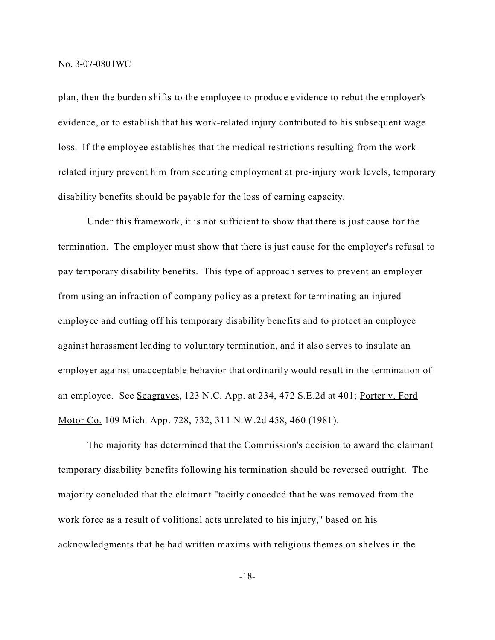plan, then the burden shifts to the employee to produce evidence to rebut the employer's evidence, or to establish that his work-related injury contributed to his subsequent wage loss. If the employee establishes that the medical restrictions resulting from the workrelated injury prevent him from securing employment at pre-injury work levels, temporary disability benefits should be payable for the loss of earning capacity.

Under this framework, it is not sufficient to show that there is just cause for the termination. The employer must show that there is just cause for the employer's refusal to pay temporary disability benefits. This type of approach serves to prevent an employer from using an infraction of company policy as a pretext for terminating an injured employee and cutting off his temporary disability benefits and to protect an employee against harassment leading to voluntary termination, and it also serves to insulate an employer against unacceptable behavior that ordinarily would result in the termination of an employee. See Seagraves, 123 N.C. App. at 234, 472 S.E.2d at 401; Porter v. Ford Motor Co. 109 Mich. App. 728, 732, 311 N.W.2d 458, 460 (1981).

The majority has determined that the Commission's decision to award the claimant temporary disability benefits following his termination should be reversed outright. The majority concluded that the claimant "tacitly conceded that he was removed from the work force as a result of volitional acts unrelated to his injury," based on his acknowledgments that he had written maxims with religious themes on shelves in the

-18-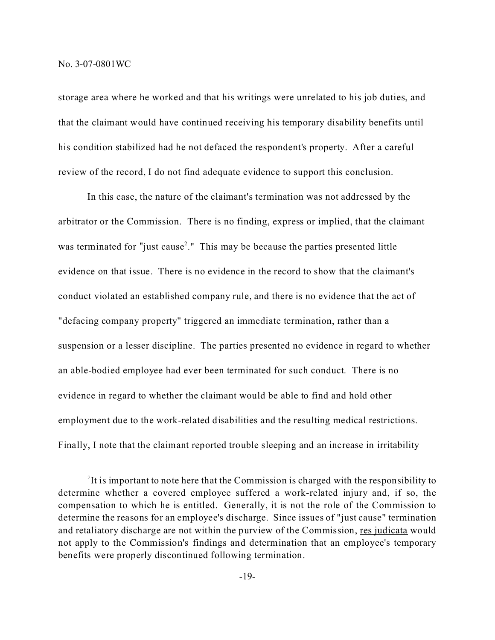storage area where he worked and that his writings were unrelated to his job duties, and that the claimant would have continued receiving his temporary disability benefits until his condition stabilized had he not defaced the respondent's property. After a careful review of the record, I do not find adequate evidence to support this conclusion.

In this case, the nature of the claimant's termination was not addressed by the arbitrator or the Commission. There is no finding, express or implied, that the claimant was terminated for "just cause<sup>2</sup>." This may be because the parties presented little evidence on that issue. There is no evidence in the record to show that the claimant's conduct violated an established company rule, and there is no evidence that the act of "defacing company property" triggered an immediate termination, rather than a suspension or a lesser discipline. The parties presented no evidence in regard to whether an able-bodied employee had ever been terminated for such conduct. There is no evidence in regard to whether the claimant would be able to find and hold other employment due to the work-related disabilities and the resulting medical restrictions. Finally, I note that the claimant reported trouble sleeping and an increase in irritability

 $2$ It is important to note here that the Commission is charged with the responsibility to determine whether a covered employee suffered a work-related injury and, if so, the compensation to which he is entitled. Generally, it is not the role of the Commission to determine the reasons for an employee's discharge. Since issues of "just cause" termination and retaliatory discharge are not within the purview of the Commission, res judicata would not apply to the Commission's findings and determination that an employee's temporary benefits were properly discontinued following termination.